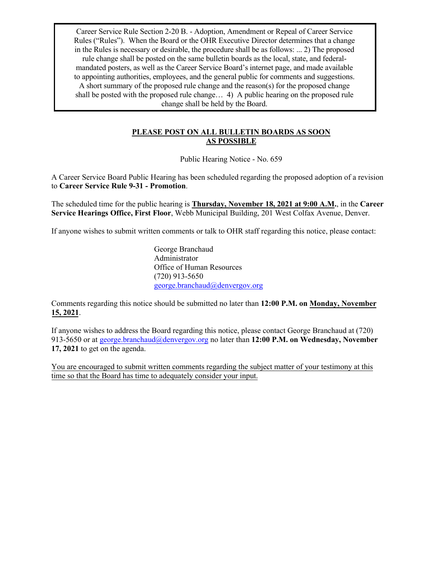Career Service Rule Section 2-20 B. - Adoption, Amendment or Repeal of Career Service Rules ("Rules"). When the Board or the OHR Executive Director determines that a change in the Rules is necessary or desirable, the procedure shall be as follows: ... 2) The proposed rule change shall be posted on the same bulletin boards as the local, state, and federalmandated posters, as well as the Career Service Board's internet page, and made available to appointing authorities, employees, and the general public for comments and suggestions. A short summary of the proposed rule change and the reason(s) for the proposed change shall be posted with the proposed rule change… 4) A public hearing on the proposed rule change shall be held by the Board.

#### **PLEASE POST ON ALL BULLETIN BOARDS AS SOON AS POSSIBLE**

Public Hearing Notice - No. 659

A Career Service Board Public Hearing has been scheduled regarding the proposed adoption of a revision to **Career Service Rule 9-31 - Promotion**.

The scheduled time for the public hearing is **Thursday, November 18, 2021 at 9:00 A.M.**, in the **Career Service Hearings Office, First Floor**, Webb Municipal Building, 201 West Colfax Avenue, Denver.

If anyone wishes to submit written comments or talk to OHR staff regarding this notice, please contact:

George Branchaud Administrator Office of Human Resources (720) 913-5650 [george.branchaud@denvergov.org](mailto:george.branchaud@denvergov.org)

Comments regarding this notice should be submitted no later than **12:00 P.M. on Monday, November 15, 2021**.

If anyone wishes to address the Board regarding this notice, please contact George Branchaud at (720) 913-5650 or at [george.branchaud@denvergov.org](mailto:george.branchaud@denvergov.org) no later than **12:00 P.M. on Wednesday, November 17, 2021** to get on the agenda.

You are encouraged to submit written comments regarding the subject matter of your testimony at this time so that the Board has time to adequately consider your input.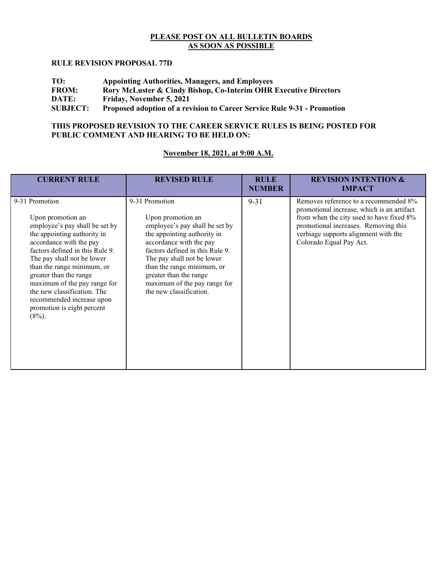### **PLEASE POST ON ALL BULLETIN BOARDS AS SOON AS POSSIBLE**

#### **RULE REVISION PROPOSAL 77D**

| TO:             | <b>Appointing Authorities, Managers, and Employees</b>                      |
|-----------------|-----------------------------------------------------------------------------|
| <b>FROM:</b>    | <b>Rory McLuster &amp; Cindy Bishop, Co-Interim OHR Executive Directors</b> |
| DATE:           | Friday, November 5, 2021                                                    |
| <b>SUBJECT:</b> | Proposed adoption of a revision to Career Service Rule 9-31 - Promotion     |

#### **THIS PROPOSED REVISION TO THE CAREER SERVICE RULES IS BEING POSTED FOR PUBLIC COMMENT AND HEARING TO BE HELD ON:**

### **November 18, 2021, at 9:00 A.M.**

| <b>CURRENT RULE</b>                                                                                                                                                                                                                                                                                                                                                                             | <b>REVISED RULE</b>                                                                                                                                                                                                                                                                                                 | <b>RULE</b><br><b>NUMBER</b> | <b>REVISION INTENTION &amp;</b><br><b>IMPACT</b>                                                                                                                                                                                           |
|-------------------------------------------------------------------------------------------------------------------------------------------------------------------------------------------------------------------------------------------------------------------------------------------------------------------------------------------------------------------------------------------------|---------------------------------------------------------------------------------------------------------------------------------------------------------------------------------------------------------------------------------------------------------------------------------------------------------------------|------------------------------|--------------------------------------------------------------------------------------------------------------------------------------------------------------------------------------------------------------------------------------------|
| 9-31 Promotion<br>Upon promotion an<br>employee's pay shall be set by<br>the appointing authority in<br>accordance with the pay<br>factors defined in this Rule 9.<br>The pay shall not be lower<br>than the range minimum, or<br>greater than the range<br>maximum of the pay range for<br>the new classification. The<br>recommended increase upon<br>promotion is eight percent<br>$(8\%)$ . | 9-31 Promotion<br>Upon promotion an<br>employee's pay shall be set by<br>the appointing authority in<br>accordance with the pay<br>factors defined in this Rule 9.<br>The pay shall not be lower<br>than the range minimum, or<br>greater than the range<br>maximum of the pay range for<br>the new classification. | $9 - 31$                     | Removes reference to a recommended 8%<br>promotional increase, which is an artifact<br>from when the city used to have fixed 8%<br>promotional increases. Removing this<br>verbiage supports alignment with the<br>Colorado Equal Pay Act. |